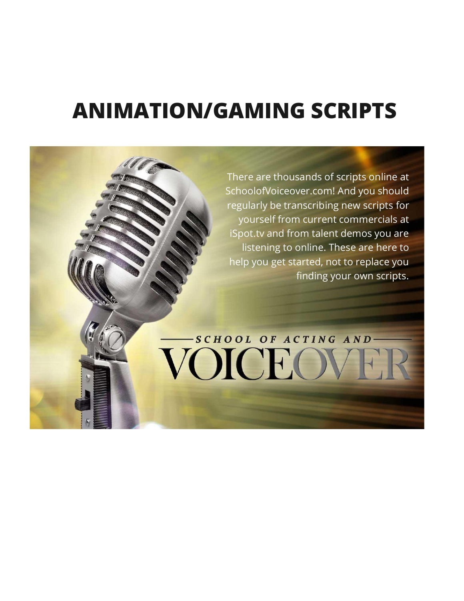# **ANIMATION/GAMING SCRIPTS**

There are thousands of scripts online at SchoolofVoiceover.com! And you should regularly be transcribing new scripts for yourself from current commercials at iSpot.tv and from talent demos you are listening to online. These are here to help you get started, not to replace you finding your own scripts.

# -SCHOOL OF ACTING AND-VOICEOV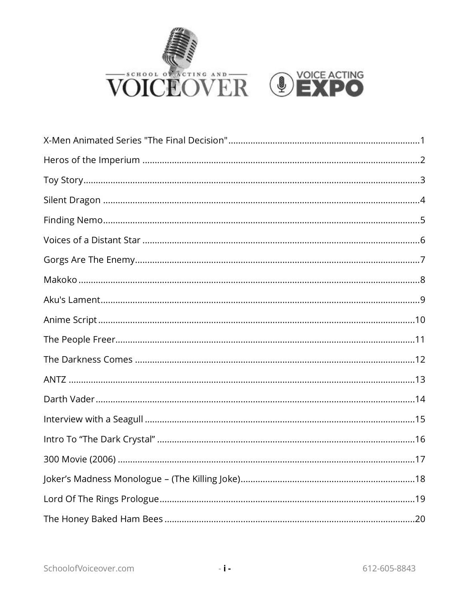

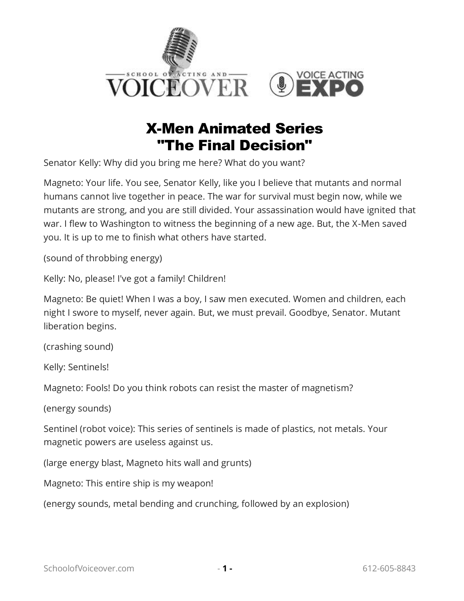

# X-Men Animated Series "The Final Decision"

<span id="page-2-0"></span>Senator Kelly: Why did you bring me here? What do you want?

Magneto: Your life. You see, Senator Kelly, like you I believe that mutants and normal humans cannot live together in peace. The war for survival must begin now, while we mutants are strong, and you are still divided. Your assassination would have ignited that war. I flew to Washington to witness the beginning of a new age. But, the X-Men saved you. It is up to me to finish what others have started.

(sound of throbbing energy)

Kelly: No, please! I've got a family! Children!

Magneto: Be quiet! When I was a boy, I saw men executed. Women and children, each night I swore to myself, never again. But, we must prevail. Goodbye, Senator. Mutant liberation begins.

(crashing sound)

Kelly: Sentinels!

Magneto: Fools! Do you think robots can resist the master of magnetism?

(energy sounds)

Sentinel (robot voice): This series of sentinels is made of plastics, not metals. Your magnetic powers are useless against us.

(large energy blast, Magneto hits wall and grunts)

Magneto: This entire ship is my weapon!

(energy sounds, metal bending and crunching, followed by an explosion)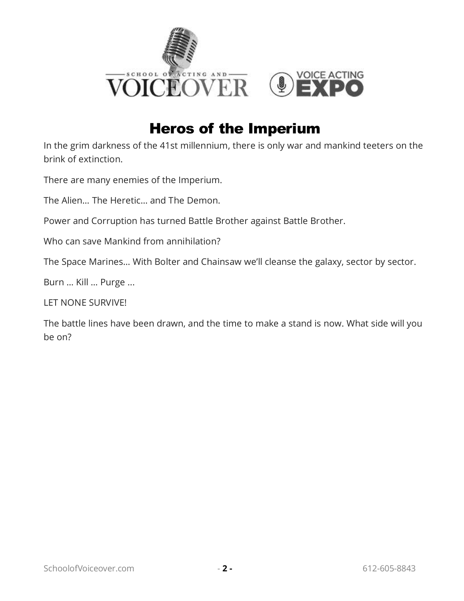

## Heros of the Imperium

<span id="page-3-0"></span>In the grim darkness of the 41st millennium, there is only war and mankind teeters on the brink of extinction.

There are many enemies of the Imperium.

The Alien… The Heretic… and The Demon.

Power and Corruption has turned Battle Brother against Battle Brother.

Who can save Mankind from annihilation?

The Space Marines… With Bolter and Chainsaw we'll cleanse the galaxy, sector by sector.

Burn … Kill … Purge ...

LET NONE SURVIVE!

The battle lines have been drawn, and the time to make a stand is now. What side will you be on?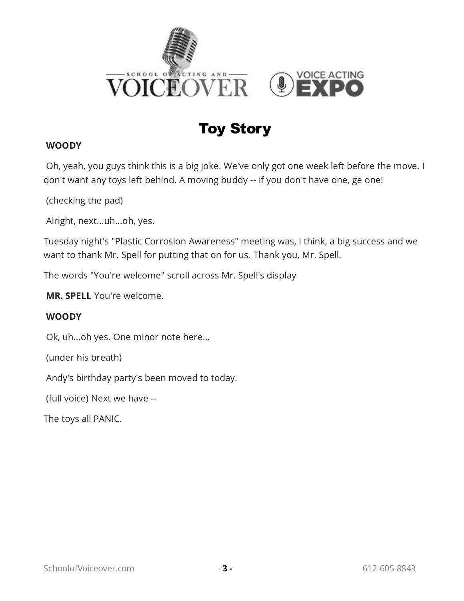

# Toy Story

#### <span id="page-4-0"></span>**WOODY**

 Oh, yeah, you guys think this is a big joke. We've only got one week left before the move. I don't want any toys left behind. A moving buddy -- if you don't have one, ge one!

(checking the pad)

Alright, next...uh...oh, yes.

Tuesday night's "Plastic Corrosion Awareness" meeting was, I think, a big success and we want to thank Mr. Spell for putting that on for us. Thank you, Mr. Spell.

The words "You're welcome" scroll across Mr. Spell's display

 **MR. SPELL** You're welcome.

#### **WOODY**

Ok, uh...oh yes. One minor note here...

(under his breath)

Andy's birthday party's been moved to today.

(full voice) Next we have --

The toys all PANIC.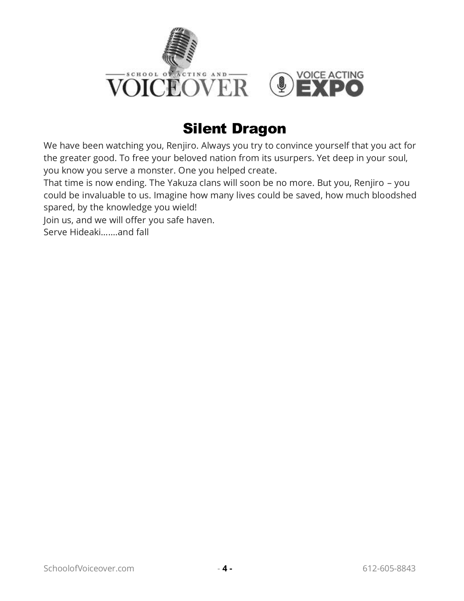

# Silent Dragon

<span id="page-5-0"></span>We have been watching you, Renjiro. Always you try to convince yourself that you act for the greater good. To free your beloved nation from its usurpers. Yet deep in your soul, you know you serve a monster. One you helped create.

That time is now ending. The Yakuza clans will soon be no more. But you, Renjiro – you could be invaluable to us. Imagine how many lives could be saved, how much bloodshed spared, by the knowledge you wield!

Join us, and we will offer you safe haven.

Serve Hideaki…….and fall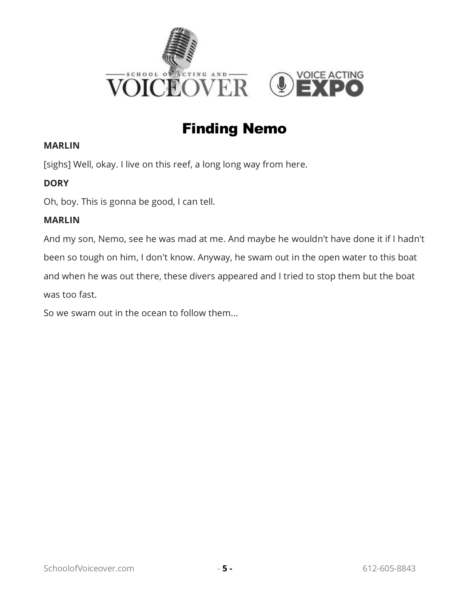

# Finding Nemo

#### <span id="page-6-0"></span>**MARLIN**

[sighs] Well, okay. I live on this reef, a long long way from here.

#### **DORY**

Oh, boy. This is gonna be good, I can tell.

#### **MARLIN**

And my son, Nemo, see he was mad at me. And maybe he wouldn't have done it if I hadn't been so tough on him, I don't know. Anyway, he swam out in the open water to this boat and when he was out there, these divers appeared and I tried to stop them but the boat was too fast.

So we swam out in the ocean to follow them...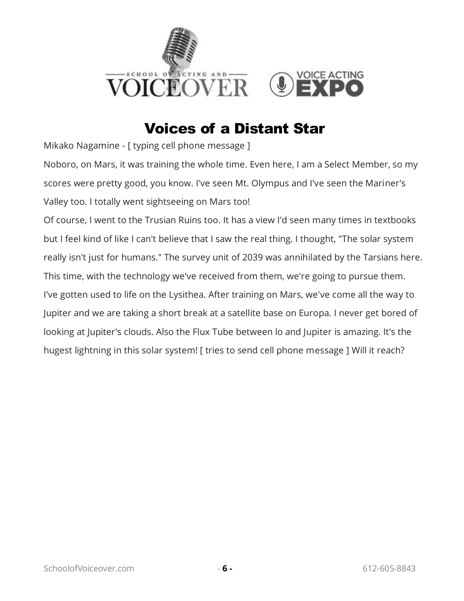

# Voices of a Distant Star

<span id="page-7-0"></span>Mikako Nagamine - [ typing cell phone message ]

Noboro, on Mars, it was training the whole time. Even here, I am a Select Member, so my scores were pretty good, you know. I've seen Mt. Olympus and I've seen the Mariner's Valley too. I totally went sightseeing on Mars too!

Of course, I went to the Trusian Ruins too. It has a view I'd seen many times in textbooks but I feel kind of like I can't believe that I saw the real thing. I thought, "The solar system really isn't just for humans." The survey unit of 2039 was annihilated by the Tarsians here. This time, with the technology we've received from them, we're going to pursue them. I've gotten used to life on the Lysithea. After training on Mars, we've come all the way to Jupiter and we are taking a short break at a satellite base on Europa. I never get bored of looking at Jupiter's clouds. Also the Flux Tube between lo and Jupiter is amazing. It's the hugest lightning in this solar system! [ tries to send cell phone message ] Will it reach?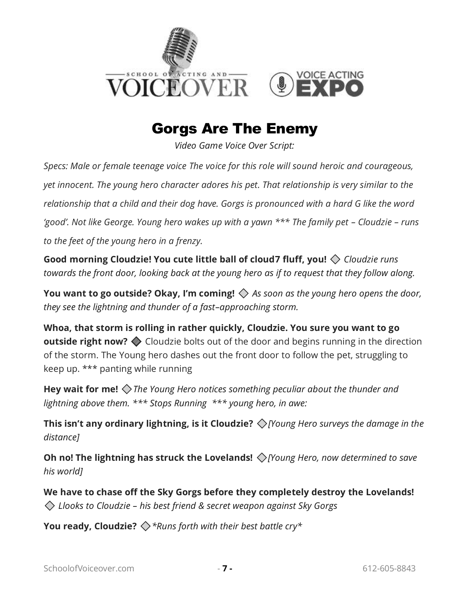

# Gorgs Are The Enemy

*Video Game Voice Over Script:* 

<span id="page-8-0"></span>*Specs: Male or female teenage voice The voice for this role will sound heroic and courageous, yet innocent. The young hero character adores his pet. That relationship is very similar to the relationship that a child and their dog have. Gorgs is pronounced with a hard G like the word*  'good'. Not like George. Young hero wakes up with a yawn \*\*\* The family pet - Cloudzie - runs *to the feet of the young hero in a frenzy.* 

**Good morning Cloudzie! You cute little ball of cloud7 fluff, you!** *Cloudzie runs towards the front door, looking back at the young hero as if to request that they follow along.* 

**You want to go outside? Okay, I'm coming!** *As soon as the young hero opens the door, they see the lightning and thunder of a fast–approaching storm.* 

**Whoa, that storm is rolling in rather quickly, Cloudzie. You sure you want to go outside right now?**  $\diamondsuit$  Cloudzie bolts out of the door and begins running in the direction of the storm. The Young hero dashes out the front door to follow the pet, struggling to keep up. \*\*\* panting while running

**Hey wait for me!** *The Young Hero notices something peculiar about the thunder and lightning above them. \*\*\* Stops Running \*\*\* young hero, in awe:* 

**This isn't any ordinary lightning, is it Cloudzie?** *[Young Hero surveys the damage in the distance]* 

**Oh no! The lightning has struck the Lovelands!** *[Young Hero, now determined to save his world]* 

**We have to chase off the Sky Gorgs before they completely destroy the Lovelands!** *Llooks to Cloudzie – his best friend & secret weapon against Sky Gorgs* 

**You ready, Cloudzie?** *\*Runs forth with their best battle cry\**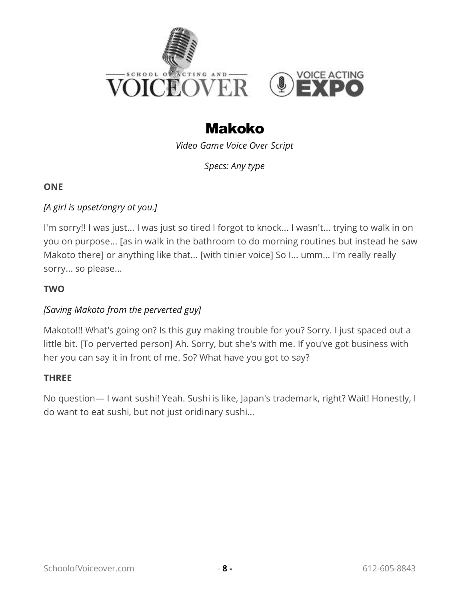

# Makoko

*Video Game Voice Over Script* 

*Specs: Any type* 

#### <span id="page-9-0"></span>**ONE**

#### *[A girl is upset/angry at you.]*

I'm sorry!! I was just... I was just so tired I forgot to knock... I wasn't... trying to walk in on you on purpose... [as in walk in the bathroom to do morning routines but instead he saw Makoto there] or anything like that... [with tinier voice] So I... umm... I'm really really sorry... so please...

#### **TWO**

#### *[Saving Makoto from the perverted guy]*

Makoto!!! What's going on? Is this guy making trouble for you? Sorry. I just spaced out a little bit. [To perverted person] Ah. Sorry, but she's with me. If you've got business with her you can say it in front of me. So? What have you got to say?

#### **THREE**

No question— I want sushi! Yeah. Sushi is like, Japan's trademark, right? Wait! Honestly, I do want to eat sushi, but not just oridinary sushi...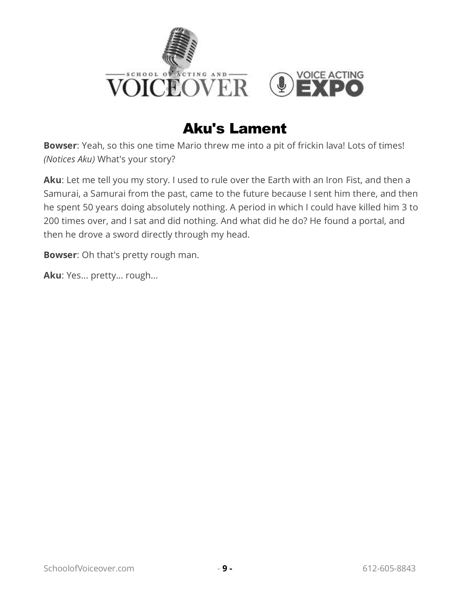

# Aku's Lament

<span id="page-10-0"></span>**Bowser**: Yeah, so this one time Mario threw me into a pit of frickin lava! Lots of times! *(Notices Aku)* What's your story?

**Aku**: Let me tell you my story. I used to rule over the Earth with an Iron Fist, and then a Samurai, a Samurai from the past, came to the future because I sent him there, and then he spent 50 years doing absolutely nothing. A period in which I could have killed him 3 to 200 times over, and I sat and did nothing. And what did he do? He found a portal, and then he drove a sword directly through my head.

**Bowser**: Oh that's pretty rough man.

**Aku**: Yes... pretty... rough...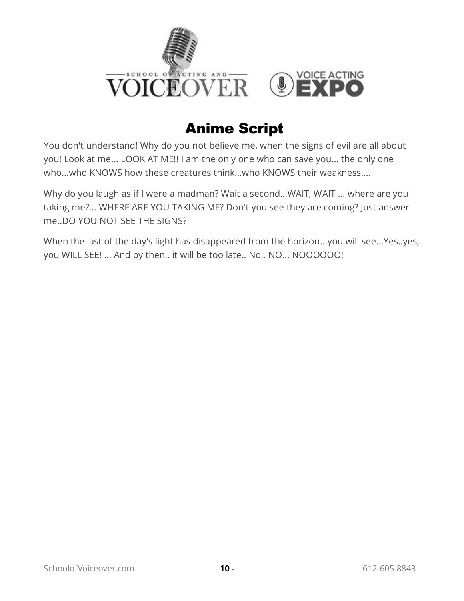

# Anime Script

<span id="page-11-0"></span>You don't understand! Why do you not believe me, when the signs of evil are all about you! Look at me... LOOK AT ME!! I am the only one who can save you... the only one who...who KNOWS how these creatures think...who KNOWS their weakness....

Why do you laugh as if I were a madman? Wait a second...WAIT, WAIT ... where are you taking me?... WHERE ARE YOU TAKING ME? Don't you see they are coming? Just answer me..DO YOU NOT SEE THE SIGNS?

When the last of the day's light has disappeared from the horizon...you will see...Yes..yes, you WILL SEE! ... And by then.. it will be too late.. No.. NO... NOOOOOO!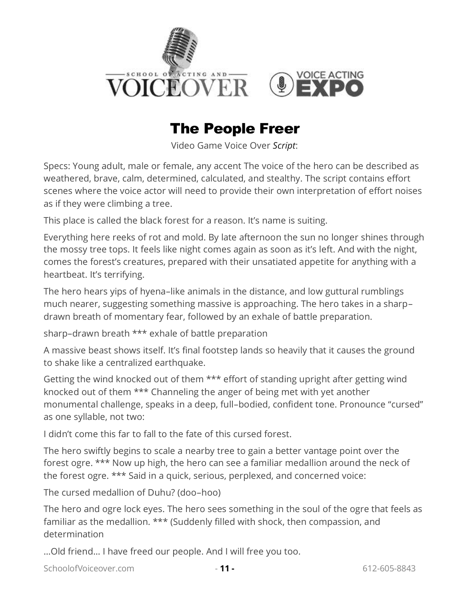

# The People Freer

Video Game Voice Over *Script*:

<span id="page-12-0"></span>Specs: Young adult, male or female, any accent The voice of the hero can be described as weathered, brave, calm, determined, calculated, and stealthy. The script contains effort scenes where the voice actor will need to provide their own interpretation of effort noises as if they were climbing a tree.

This place is called the black forest for a reason. It's name is suiting.

Everything here reeks of rot and mold. By late afternoon the sun no longer shines through the mossy tree tops. It feels like night comes again as soon as it's left. And with the night, comes the forest's creatures, prepared with their unsatiated appetite for anything with a heartbeat. It's terrifying.

The hero hears yips of hyena–like animals in the distance, and low guttural rumblings much nearer, suggesting something massive is approaching. The hero takes in a sharp– drawn breath of momentary fear, followed by an exhale of battle preparation.

sharp–drawn breath \*\*\* exhale of battle preparation

A massive beast shows itself. It's final footstep lands so heavily that it causes the ground to shake like a centralized earthquake.

Getting the wind knocked out of them \*\*\* effort of standing upright after getting wind knocked out of them \*\*\* Channeling the anger of being met with yet another monumental challenge, speaks in a deep, full–bodied, confident tone. Pronounce "cursed" as one syllable, not two:

I didn't come this far to fall to the fate of this cursed forest.

The hero swiftly begins to scale a nearby tree to gain a better vantage point over the forest ogre. \*\*\* Now up high, the hero can see a familiar medallion around the neck of the forest ogre. \*\*\* Said in a quick, serious, perplexed, and concerned voice:

The cursed medallion of Duhu? (doo–hoo)

The hero and ogre lock eyes. The hero sees something in the soul of the ogre that feels as familiar as the medallion. \*\*\* (Suddenly filled with shock, then compassion, and determination

…Old friend… I have freed our people. And I will free you too.

SchoolofVoiceover.com - **11 -** 612-605-8843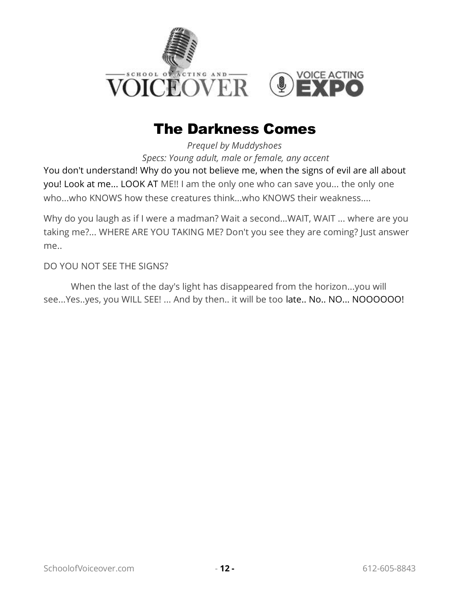

# The Darkness Comes

*Prequel by Muddyshoes Specs: Young adult, male or female, any accent* 

<span id="page-13-0"></span>You don't understand! Why do you not believe me, when the signs of evil are all about you! Look at me... LOOK AT ME!! I am the only one who can save you... the only one who...who KNOWS how these creatures think...who KNOWS their weakness....

Why do you laugh as if I were a madman? Wait a second...WAIT, WAIT ... where are you taking me?... WHERE ARE YOU TAKING ME? Don't you see they are coming? Just answer me..

DO YOU NOT SEE THE SIGNS?

When the last of the day's light has disappeared from the horizon...you will see...Yes..yes, you WILL SEE! ... And by then.. it will be too late.. No.. NO... NOOOOOO!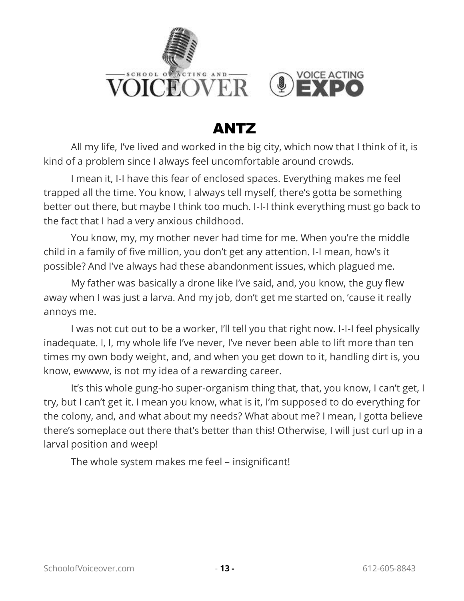

# ANTZ

<span id="page-14-0"></span>All my life, I've lived and worked in the big city, which now that I think of it, is kind of a problem since I always feel uncomfortable around crowds.

I mean it, I-I have this fear of enclosed spaces. Everything makes me feel trapped all the time. You know, I always tell myself, there's gotta be something better out there, but maybe I think too much. I-I-I think everything must go back to the fact that I had a very anxious childhood.

You know, my, my mother never had time for me. When you're the middle child in a family of five million, you don't get any attention. I-I mean, how's it possible? And I've always had these abandonment issues, which plagued me.

My father was basically a drone like I've said, and, you know, the guy flew away when I was just a larva. And my job, don't get me started on, 'cause it really annoys me.

I was not cut out to be a worker, I'll tell you that right now. I-I-I feel physically inadequate. I, I, my whole life I've never, I've never been able to lift more than ten times my own body weight, and, and when you get down to it, handling dirt is, you know, ewwww, is not my idea of a rewarding career.

It's this whole gung-ho super-organism thing that, that, you know, I can't get, I try, but I can't get it. I mean you know, what is it, I'm supposed to do everything for the colony, and, and what about my needs? What about me? I mean, I gotta believe there's someplace out there that's better than this! Otherwise, I will just curl up in a larval position and weep!

The whole system makes me feel – insignificant!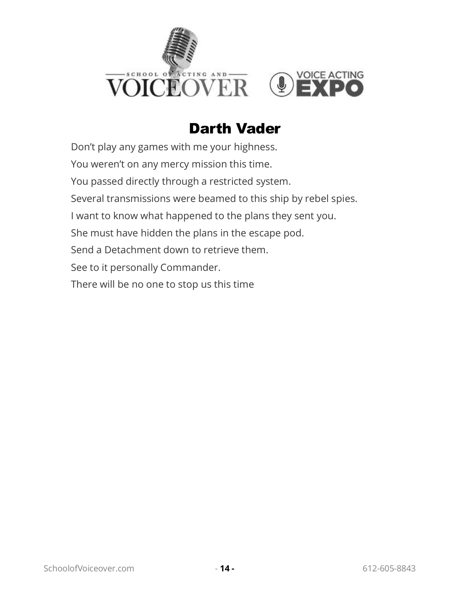

# Darth Vader

<span id="page-15-0"></span>Don't play any games with me your highness. You weren't on any mercy mission this time. You passed directly through a restricted system. Several transmissions were beamed to this ship by rebel spies. I want to know what happened to the plans they sent you. She must have hidden the plans in the escape pod. Send a Detachment down to retrieve them. See to it personally Commander. There will be no one to stop us this time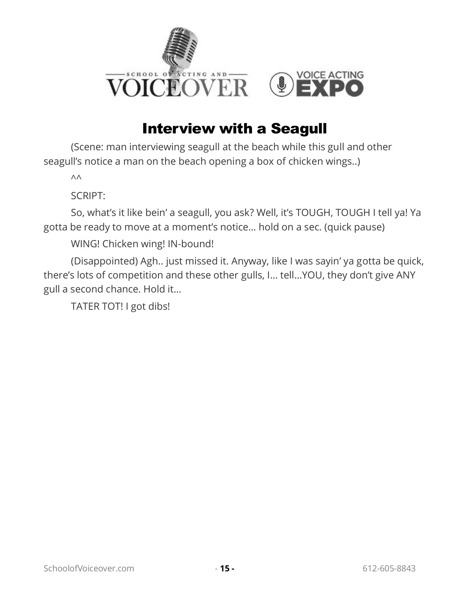

# Interview with a Seagull

<span id="page-16-0"></span>(Scene: man interviewing seagull at the beach while this gull and other seagull's notice a man on the beach opening a box of chicken wings..)

 $\wedge\wedge$ 

SCRIPT:

So, what's it like bein' a seagull, you ask? Well, it's TOUGH, TOUGH I tell ya! Ya gotta be ready to move at a moment's notice… hold on a sec. (quick pause)

WING! Chicken wing! IN-bound!

(Disappointed) Agh.. just missed it. Anyway, like I was sayin' ya gotta be quick, there's lots of competition and these other gulls, I… tell…YOU, they don't give ANY gull a second chance. Hold it…

TATER TOT! I got dibs!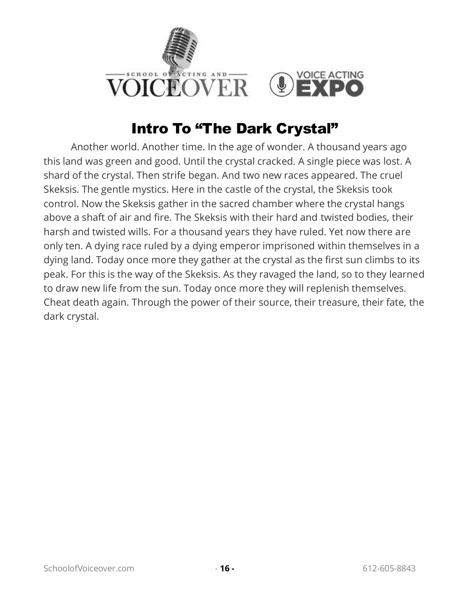

# Intro To "The Dark Crystal"

<span id="page-17-0"></span>Another world. Another time. In the age of wonder. A thousand years ago this land was green and good. Until the crystal cracked. A single piece was lost. A shard of the crystal. Then strife began. And two new races appeared. The cruel Skeksis. The gentle mystics. Here in the castle of the crystal, the Skeksis took control. Now the Skeksis gather in the sacred chamber where the crystal hangs above a shaft of air and fire. The Skeksis with their hard and twisted bodies, their harsh and twisted wills. For a thousand years they have ruled. Yet now there are only ten. A dying race ruled by a dying emperor imprisoned within themselves in a dying land. Today once more they gather at the crystal as the first sun climbs to its peak. For this is the way of the Skeksis. As they ravaged the land, so to they learned to draw new life from the sun. Today once more they will replenish themselves. Cheat death again. Through the power of their source, their treasure, their fate, the dark crystal.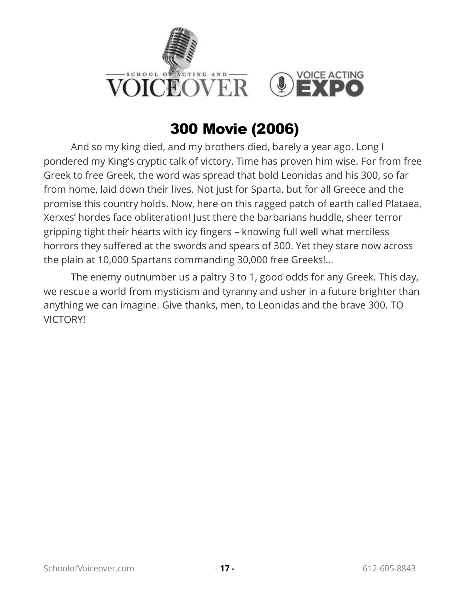

# 300 Movie (2006)

<span id="page-18-0"></span>And so my king died, and my brothers died, barely a year ago. Long I pondered my King's cryptic talk of victory. Time has proven him wise. For from free Greek to free Greek, the word was spread that bold Leonidas and his 300, so far from home, laid down their lives. Not just for Sparta, but for all Greece and the promise this country holds. Now, here on this ragged patch of earth called Plataea, Xerxes' hordes face obliteration! Just there the barbarians huddle, sheer terror gripping tight their hearts with icy fingers – knowing full well what merciless horrors they suffered at the swords and spears of 300. Yet they stare now across the plain at 10,000 Spartans commanding 30,000 free Greeks!…

The enemy outnumber us a paltry 3 to 1, good odds for any Greek. This day, we rescue a world from mysticism and tyranny and usher in a future brighter than anything we can imagine. Give thanks, men, to Leonidas and the brave 300. TO VICTORY!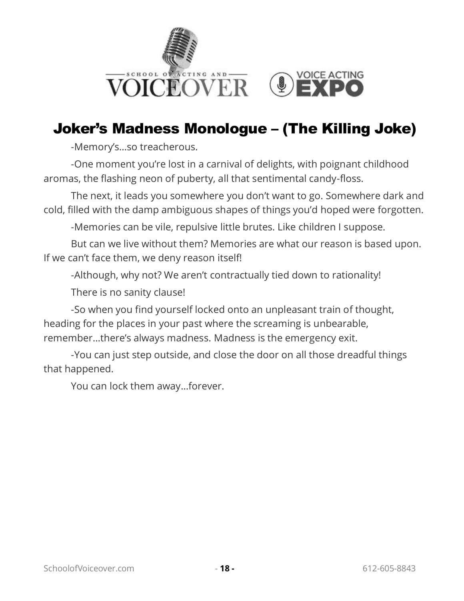

# <span id="page-19-0"></span>Joker's Madness Monologue – (The Killing Joke)

-Memory's…so treacherous.

-One moment you're lost in a carnival of delights, with poignant childhood aromas, the flashing neon of puberty, all that sentimental candy-floss.

The next, it leads you somewhere you don't want to go. Somewhere dark and cold, filled with the damp ambiguous shapes of things you'd hoped were forgotten.

-Memories can be vile, repulsive little brutes. Like children I suppose.

But can we live without them? Memories are what our reason is based upon. If we can't face them, we deny reason itself!

-Although, why not? We aren't contractually tied down to rationality!

There is no sanity clause!

-So when you find yourself locked onto an unpleasant train of thought, heading for the places in your past where the screaming is unbearable, remember…there's always madness. Madness is the emergency exit.

-You can just step outside, and close the door on all those dreadful things that happened.

You can lock them away…forever.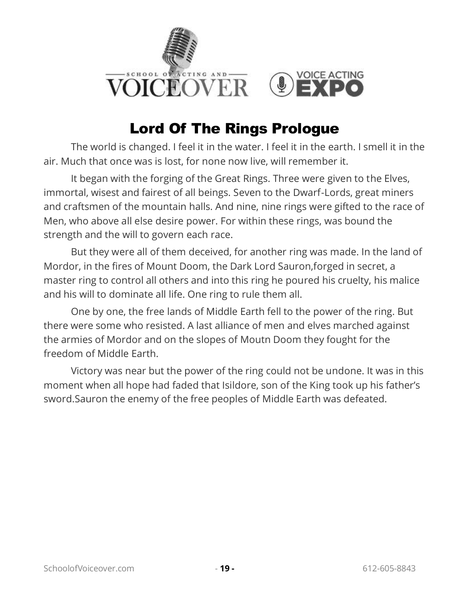

# Lord Of The Rings Prologue

<span id="page-20-0"></span>The world is changed. I feel it in the water. I feel it in the earth. I smell it in the air. Much that once was is lost, for none now live, will remember it.

It began with the forging of the Great Rings. Three were given to the Elves, immortal, wisest and fairest of all beings. Seven to the Dwarf-Lords, great miners and craftsmen of the mountain halls. And nine, nine rings were gifted to the race of Men, who above all else desire power. For within these rings, was bound the strength and the will to govern each race.

But they were all of them deceived, for another ring was made. In the land of Mordor, in the fires of Mount Doom, the Dark Lord Sauron,forged in secret, a master ring to control all others and into this ring he poured his cruelty, his malice and his will to dominate all life. One ring to rule them all.

One by one, the free lands of Middle Earth fell to the power of the ring. But there were some who resisted. A last alliance of men and elves marched against the armies of Mordor and on the slopes of Moutn Doom they fought for the freedom of Middle Earth.

Victory was near but the power of the ring could not be undone. It was in this moment when all hope had faded that Isildore, son of the King took up his father's sword.Sauron the enemy of the free peoples of Middle Earth was defeated.